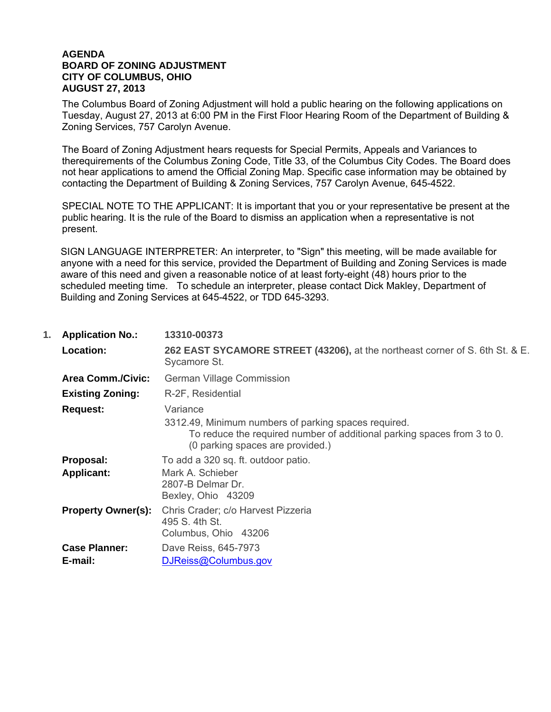## **AGENDA BOARD OF ZONING ADJUSTMENT CITY OF COLUMBUS, OHIO AUGUST 27, 2013**

 The Columbus Board of Zoning Adjustment will hold a public hearing on the following applications on Tuesday, August 27, 2013 at 6:00 PM in the First Floor Hearing Room of the Department of Building & Zoning Services, 757 Carolyn Avenue.

 The Board of Zoning Adjustment hears requests for Special Permits, Appeals and Variances to therequirements of the Columbus Zoning Code, Title 33, of the Columbus City Codes. The Board does not hear applications to amend the Official Zoning Map. Specific case information may be obtained by contacting the Department of Building & Zoning Services, 757 Carolyn Avenue, 645-4522.

 SPECIAL NOTE TO THE APPLICANT: It is important that you or your representative be present at the public hearing. It is the rule of the Board to dismiss an application when a representative is not present.

SIGN LANGUAGE INTERPRETER: An interpreter, to "Sign" this meeting, will be made available for anyone with a need for this service, provided the Department of Building and Zoning Services is made aware of this need and given a reasonable notice of at least forty-eight (48) hours prior to the scheduled meeting time. To schedule an interpreter, please contact Dick Makley, Department of Building and Zoning Services at 645-4522, or TDD 645-3293.

| 1. | <b>Application No.:</b>         | 13310-00373                                                                                                                                                                     |
|----|---------------------------------|---------------------------------------------------------------------------------------------------------------------------------------------------------------------------------|
|    | Location:                       | 262 EAST SYCAMORE STREET (43206), at the northeast corner of S. 6th St. & E.<br>Sycamore St.                                                                                    |
|    | <b>Area Comm./Civic:</b>        | German Village Commission                                                                                                                                                       |
|    | <b>Existing Zoning:</b>         | R-2F, Residential                                                                                                                                                               |
|    | <b>Request:</b>                 | Variance<br>3312.49, Minimum numbers of parking spaces required.<br>To reduce the required number of additional parking spaces from 3 to 0.<br>(0 parking spaces are provided.) |
|    | Proposal:<br><b>Applicant:</b>  | To add a 320 sq. ft. outdoor patio.<br>Mark A. Schieber<br>2807-B Delmar Dr.<br>Bexley, Ohio 43209                                                                              |
|    | <b>Property Owner(s):</b>       | Chris Crader; c/o Harvest Pizzeria<br>495 S. 4th St.<br>Columbus, Ohio 43206                                                                                                    |
|    | <b>Case Planner:</b><br>E-mail: | Dave Reiss, 645-7973<br>DJReiss@Columbus.gov                                                                                                                                    |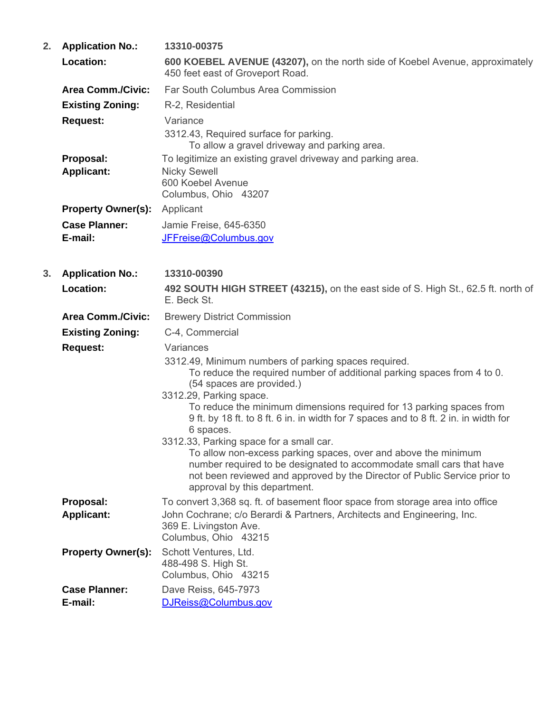| 2. | <b>Application No.:</b>         | 13310-00375                                                                                                                                                                                                                                                                                                                                                                                                                                                                                                                                                                                                                                                                         |
|----|---------------------------------|-------------------------------------------------------------------------------------------------------------------------------------------------------------------------------------------------------------------------------------------------------------------------------------------------------------------------------------------------------------------------------------------------------------------------------------------------------------------------------------------------------------------------------------------------------------------------------------------------------------------------------------------------------------------------------------|
|    | Location:                       | 600 KOEBEL AVENUE (43207), on the north side of Koebel Avenue, approximately<br>450 feet east of Groveport Road.                                                                                                                                                                                                                                                                                                                                                                                                                                                                                                                                                                    |
|    | <b>Area Comm./Civic:</b>        | Far South Columbus Area Commission                                                                                                                                                                                                                                                                                                                                                                                                                                                                                                                                                                                                                                                  |
|    | <b>Existing Zoning:</b>         | R-2, Residential                                                                                                                                                                                                                                                                                                                                                                                                                                                                                                                                                                                                                                                                    |
|    | <b>Request:</b>                 | Variance<br>3312.43, Required surface for parking.<br>To allow a gravel driveway and parking area.                                                                                                                                                                                                                                                                                                                                                                                                                                                                                                                                                                                  |
|    | Proposal:<br><b>Applicant:</b>  | To legitimize an existing gravel driveway and parking area.<br><b>Nicky Sewell</b><br>600 Koebel Avenue<br>Columbus, Ohio 43207                                                                                                                                                                                                                                                                                                                                                                                                                                                                                                                                                     |
|    | <b>Property Owner(s):</b>       | Applicant                                                                                                                                                                                                                                                                                                                                                                                                                                                                                                                                                                                                                                                                           |
|    | <b>Case Planner:</b><br>E-mail: | Jamie Freise, 645-6350<br>JFFreise@Columbus.gov                                                                                                                                                                                                                                                                                                                                                                                                                                                                                                                                                                                                                                     |
| 3. | <b>Application No.:</b>         | 13310-00390                                                                                                                                                                                                                                                                                                                                                                                                                                                                                                                                                                                                                                                                         |
|    | Location:                       | 492 SOUTH HIGH STREET (43215), on the east side of S. High St., 62.5 ft. north of<br>E. Beck St.                                                                                                                                                                                                                                                                                                                                                                                                                                                                                                                                                                                    |
|    | <b>Area Comm./Civic:</b>        | <b>Brewery District Commission</b>                                                                                                                                                                                                                                                                                                                                                                                                                                                                                                                                                                                                                                                  |
|    | <b>Existing Zoning:</b>         | C-4, Commercial                                                                                                                                                                                                                                                                                                                                                                                                                                                                                                                                                                                                                                                                     |
|    | <b>Request:</b>                 | Variances<br>3312.49, Minimum numbers of parking spaces required.<br>To reduce the required number of additional parking spaces from 4 to 0.<br>(54 spaces are provided.)<br>3312.29, Parking space.<br>To reduce the minimum dimensions required for 13 parking spaces from<br>9 ft. by 18 ft. to 8 ft. 6 in. in width for 7 spaces and to 8 ft. 2 in. in width for<br>6 spaces.<br>3312.33, Parking space for a small car.<br>To allow non-excess parking spaces, over and above the minimum<br>number required to be designated to accommodate small cars that have<br>not been reviewed and approved by the Director of Public Service prior to<br>approval by this department. |
|    | Proposal:<br><b>Applicant:</b>  | To convert 3,368 sq. ft. of basement floor space from storage area into office<br>John Cochrane; c/o Berardi & Partners, Architects and Engineering, Inc.<br>369 E. Livingston Ave.<br>Columbus, Ohio 43215                                                                                                                                                                                                                                                                                                                                                                                                                                                                         |
|    | <b>Property Owner(s):</b>       | Schott Ventures, Ltd.<br>488-498 S. High St.<br>Columbus, Ohio 43215                                                                                                                                                                                                                                                                                                                                                                                                                                                                                                                                                                                                                |
|    | <b>Case Planner:</b>            | Dave Reiss, 645-7973                                                                                                                                                                                                                                                                                                                                                                                                                                                                                                                                                                                                                                                                |
|    | E-mail:                         | DJReiss@Columbus.gov                                                                                                                                                                                                                                                                                                                                                                                                                                                                                                                                                                                                                                                                |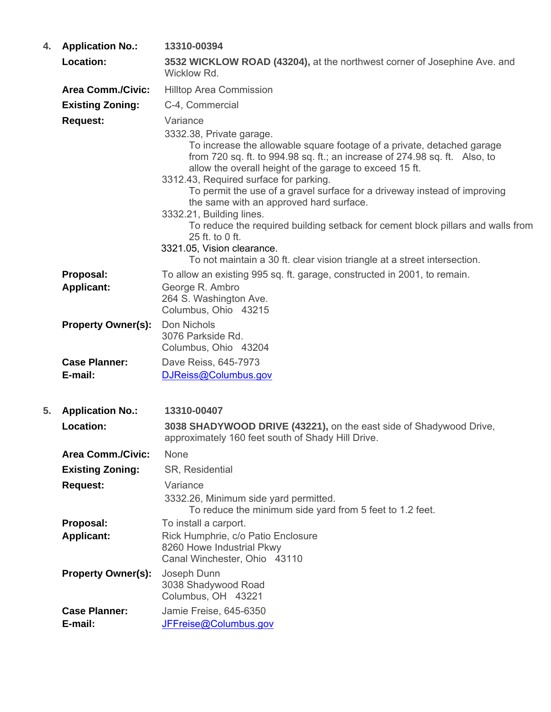| 4. | <b>Application No.:</b>         | 13310-00394                                                                                                                                                                                                                                                                                                                                                                                                                                                                                                                                                                               |
|----|---------------------------------|-------------------------------------------------------------------------------------------------------------------------------------------------------------------------------------------------------------------------------------------------------------------------------------------------------------------------------------------------------------------------------------------------------------------------------------------------------------------------------------------------------------------------------------------------------------------------------------------|
|    | <b>Location:</b>                | 3532 WICKLOW ROAD (43204), at the northwest corner of Josephine Ave. and<br>Wicklow Rd.                                                                                                                                                                                                                                                                                                                                                                                                                                                                                                   |
|    | <b>Area Comm./Civic:</b>        | <b>Hilltop Area Commission</b>                                                                                                                                                                                                                                                                                                                                                                                                                                                                                                                                                            |
|    | <b>Existing Zoning:</b>         | C-4, Commercial                                                                                                                                                                                                                                                                                                                                                                                                                                                                                                                                                                           |
|    | <b>Request:</b>                 | Variance<br>3332.38, Private garage.<br>To increase the allowable square footage of a private, detached garage<br>from 720 sq. ft. to 994.98 sq. ft.; an increase of 274.98 sq. ft. Also, to<br>allow the overall height of the garage to exceed 15 ft.<br>3312.43, Required surface for parking.<br>To permit the use of a gravel surface for a driveway instead of improving<br>the same with an approved hard surface.<br>3332.21, Building lines.<br>To reduce the required building setback for cement block pillars and walls from<br>25 ft. to 0 ft.<br>3321.05, Vision clearance. |
|    |                                 | To not maintain a 30 ft. clear vision triangle at a street intersection.                                                                                                                                                                                                                                                                                                                                                                                                                                                                                                                  |
|    | Proposal:<br><b>Applicant:</b>  | To allow an existing 995 sq. ft. garage, constructed in 2001, to remain.<br>George R. Ambro<br>264 S. Washington Ave.<br>Columbus, Ohio 43215                                                                                                                                                                                                                                                                                                                                                                                                                                             |
|    | <b>Property Owner(s):</b>       | Don Nichols<br>3076 Parkside Rd.<br>Columbus, Ohio 43204                                                                                                                                                                                                                                                                                                                                                                                                                                                                                                                                  |
|    | <b>Case Planner:</b>            | Dave Reiss, 645-7973                                                                                                                                                                                                                                                                                                                                                                                                                                                                                                                                                                      |
|    | E-mail:                         | DJReiss@Columbus.gov                                                                                                                                                                                                                                                                                                                                                                                                                                                                                                                                                                      |
| 5. | <b>Application No.:</b>         | 13310-00407                                                                                                                                                                                                                                                                                                                                                                                                                                                                                                                                                                               |
|    | Location:                       | 3038 SHADYWOOD DRIVE (43221), on the east side of Shadywood Drive,<br>approximately 160 feet south of Shady Hill Drive.                                                                                                                                                                                                                                                                                                                                                                                                                                                                   |
|    | <b>Area Comm./Civic:</b>        | <b>None</b>                                                                                                                                                                                                                                                                                                                                                                                                                                                                                                                                                                               |
|    | <b>Existing Zoning:</b>         | SR, Residential                                                                                                                                                                                                                                                                                                                                                                                                                                                                                                                                                                           |
|    | <b>Request:</b>                 | Variance<br>3332.26, Minimum side yard permitted.<br>To reduce the minimum side yard from 5 feet to 1.2 feet.                                                                                                                                                                                                                                                                                                                                                                                                                                                                             |
|    | Proposal:                       | To install a carport.                                                                                                                                                                                                                                                                                                                                                                                                                                                                                                                                                                     |
|    | <b>Applicant:</b>               | Rick Humphrie, c/o Patio Enclosure<br>8260 Howe Industrial Pkwy<br>Canal Winchester, Ohio 43110                                                                                                                                                                                                                                                                                                                                                                                                                                                                                           |
|    | <b>Property Owner(s):</b>       | Joseph Dunn<br>3038 Shadywood Road<br>Columbus, OH 43221                                                                                                                                                                                                                                                                                                                                                                                                                                                                                                                                  |
|    | <b>Case Planner:</b><br>E-mail: | Jamie Freise, 645-6350<br>JFFreise@Columbus.gov                                                                                                                                                                                                                                                                                                                                                                                                                                                                                                                                           |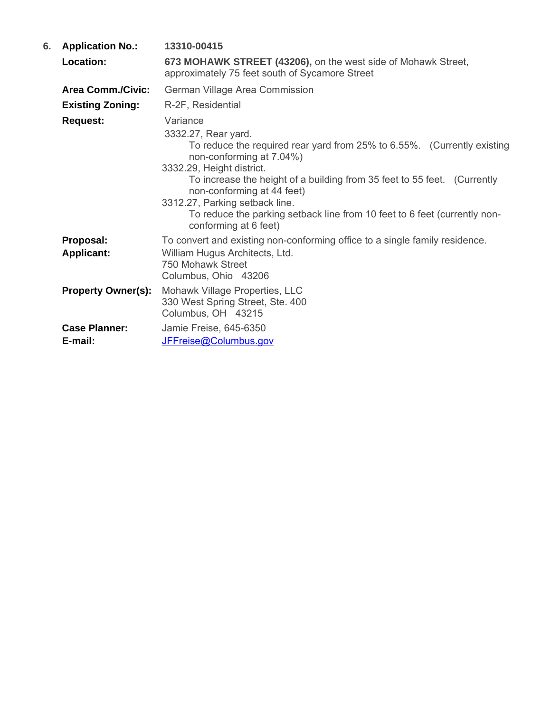| 6. | <b>Application No.:</b>         | 13310-00415                                                                                                                                                                                                                                                                                                                                                                                                           |
|----|---------------------------------|-----------------------------------------------------------------------------------------------------------------------------------------------------------------------------------------------------------------------------------------------------------------------------------------------------------------------------------------------------------------------------------------------------------------------|
|    | Location:                       | 673 MOHAWK STREET (43206), on the west side of Mohawk Street,<br>approximately 75 feet south of Sycamore Street                                                                                                                                                                                                                                                                                                       |
|    | <b>Area Comm./Civic:</b>        | German Village Area Commission                                                                                                                                                                                                                                                                                                                                                                                        |
|    | <b>Existing Zoning:</b>         | R-2F, Residential                                                                                                                                                                                                                                                                                                                                                                                                     |
|    | <b>Request:</b>                 | Variance<br>3332.27, Rear yard.<br>To reduce the required rear yard from 25% to 6.55%. (Currently existing<br>non-conforming at 7.04%)<br>3332.29, Height district.<br>To increase the height of a building from 35 feet to 55 feet. (Currently<br>non-conforming at 44 feet)<br>3312.27, Parking setback line.<br>To reduce the parking setback line from 10 feet to 6 feet (currently non-<br>conforming at 6 feet) |
|    | Proposal:<br><b>Applicant:</b>  | To convert and existing non-conforming office to a single family residence.<br>William Hugus Architects, Ltd.<br>750 Mohawk Street<br>Columbus, Ohio 43206                                                                                                                                                                                                                                                            |
|    | <b>Property Owner(s):</b>       | Mohawk Village Properties, LLC<br>330 West Spring Street, Ste. 400<br>Columbus, OH 43215                                                                                                                                                                                                                                                                                                                              |
|    | <b>Case Planner:</b><br>E-mail: | Jamie Freise, 645-6350<br>JFFreise@Columbus.gov                                                                                                                                                                                                                                                                                                                                                                       |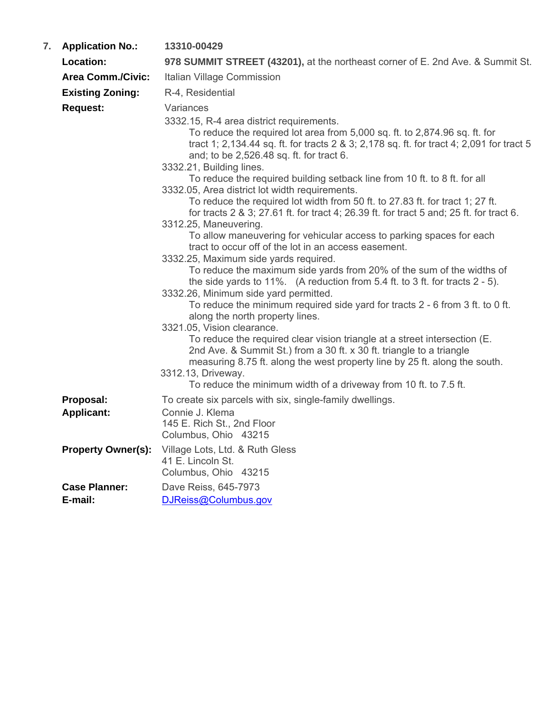| 7. | <b>Application No.:</b> | 13310-00429 |
|----|-------------------------|-------------|
|----|-------------------------|-------------|

| Location:                       | 978 SUMMIT STREET (43201), at the northeast corner of E. 2nd Ave. & Summit St.                                                                                                                                                                                                                                                                                                                                                                                                                                                                                                                                                                                                                                                                                                                                                                                                                                                                                                                                                                                                                                                                                                                                                                                                                                                                                                                                                                                                                             |
|---------------------------------|------------------------------------------------------------------------------------------------------------------------------------------------------------------------------------------------------------------------------------------------------------------------------------------------------------------------------------------------------------------------------------------------------------------------------------------------------------------------------------------------------------------------------------------------------------------------------------------------------------------------------------------------------------------------------------------------------------------------------------------------------------------------------------------------------------------------------------------------------------------------------------------------------------------------------------------------------------------------------------------------------------------------------------------------------------------------------------------------------------------------------------------------------------------------------------------------------------------------------------------------------------------------------------------------------------------------------------------------------------------------------------------------------------------------------------------------------------------------------------------------------------|
| <b>Area Comm./Civic:</b>        | Italian Village Commission                                                                                                                                                                                                                                                                                                                                                                                                                                                                                                                                                                                                                                                                                                                                                                                                                                                                                                                                                                                                                                                                                                                                                                                                                                                                                                                                                                                                                                                                                 |
| <b>Existing Zoning:</b>         | R-4, Residential                                                                                                                                                                                                                                                                                                                                                                                                                                                                                                                                                                                                                                                                                                                                                                                                                                                                                                                                                                                                                                                                                                                                                                                                                                                                                                                                                                                                                                                                                           |
| <b>Request:</b>                 | Variances<br>3332.15, R-4 area district requirements.<br>To reduce the required lot area from 5,000 sq. ft. to 2,874.96 sq. ft. for<br>tract 1; 2,134.44 sq. ft. for tracts 2 & 3; 2,178 sq. ft. for tract 4; 2,091 for tract 5<br>and; to be 2,526.48 sq. ft. for tract 6.<br>3332.21, Building lines.<br>To reduce the required building setback line from 10 ft. to 8 ft. for all<br>3332.05, Area district lot width requirements.<br>To reduce the required lot width from 50 ft. to 27.83 ft. for tract 1; 27 ft.<br>for tracts 2 & 3; 27.61 ft. for tract 4; 26.39 ft. for tract 5 and; 25 ft. for tract 6.<br>3312.25, Maneuvering.<br>To allow maneuvering for vehicular access to parking spaces for each<br>tract to occur off of the lot in an access easement.<br>3332.25, Maximum side yards required.<br>To reduce the maximum side yards from 20% of the sum of the widths of<br>the side yards to 11%. (A reduction from $5.4$ ft. to 3 ft. for tracts $2 - 5$ ).<br>3332.26, Minimum side yard permitted.<br>To reduce the minimum required side yard for tracts 2 - 6 from 3 ft. to 0 ft.<br>along the north property lines.<br>3321.05, Vision clearance.<br>To reduce the required clear vision triangle at a street intersection (E.<br>2nd Ave. & Summit St.) from a 30 ft. x 30 ft. triangle to a triangle<br>measuring 8.75 ft. along the west property line by 25 ft. along the south.<br>3312.13, Driveway.<br>To reduce the minimum width of a driveway from 10 ft. to 7.5 ft. |
| Proposal:<br><b>Applicant:</b>  | To create six parcels with six, single-family dwellings.<br>Connie J. Klema<br>145 E. Rich St., 2nd Floor<br>Columbus, Ohio 43215                                                                                                                                                                                                                                                                                                                                                                                                                                                                                                                                                                                                                                                                                                                                                                                                                                                                                                                                                                                                                                                                                                                                                                                                                                                                                                                                                                          |
| <b>Property Owner(s):</b>       | Village Lots, Ltd. & Ruth Gless<br>41 E. Lincoln St.<br>Columbus, Ohio 43215                                                                                                                                                                                                                                                                                                                                                                                                                                                                                                                                                                                                                                                                                                                                                                                                                                                                                                                                                                                                                                                                                                                                                                                                                                                                                                                                                                                                                               |
| <b>Case Planner:</b><br>E-mail: | Dave Reiss, 645-7973<br>DJReiss@Columbus.gov                                                                                                                                                                                                                                                                                                                                                                                                                                                                                                                                                                                                                                                                                                                                                                                                                                                                                                                                                                                                                                                                                                                                                                                                                                                                                                                                                                                                                                                               |